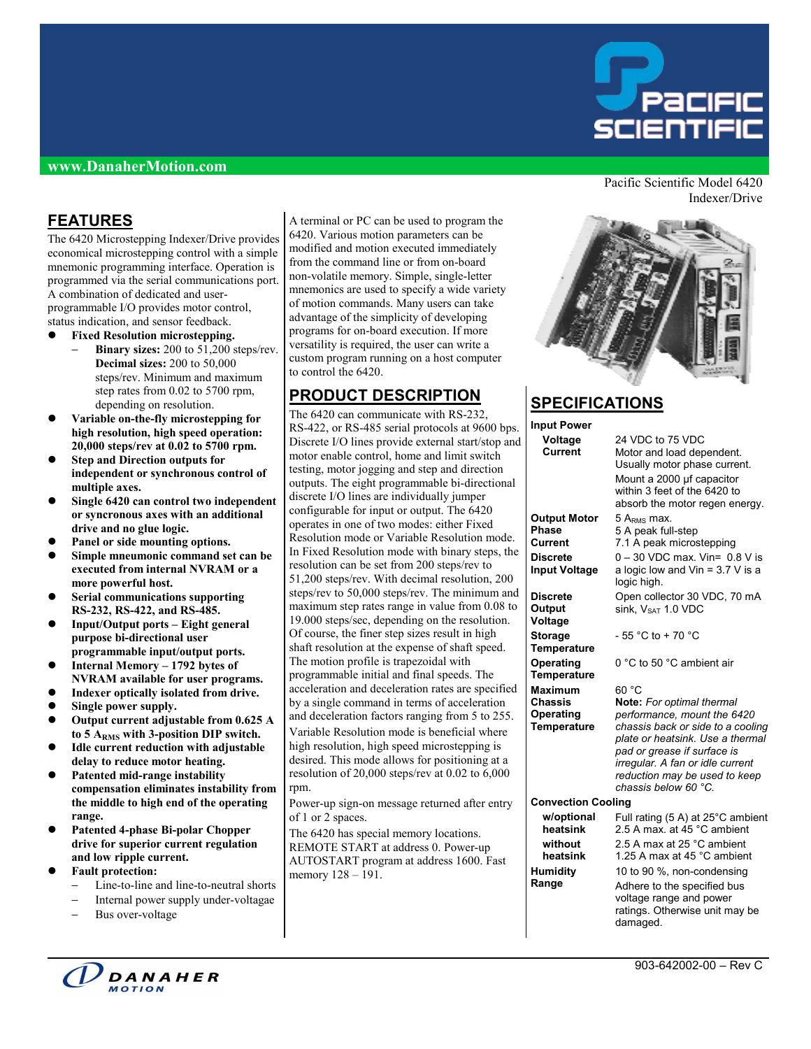

#### **www.DanaherMotion.com**

### **FEATURES**

The 6420 Microstepping Indexer/Drive provides economical microstepping control with a simple mnemonic programming interface. Operation is programmed via the serial communications port. A combination of dedicated and userprogrammable I/O provides motor control, status indication, and sensor feedback.

- **Fixed Resolution microstepping.** 
	- **Binary sizes:** 200 to 51,200 steps/rev. **Decimal sizes:** 200 to 50,000 steps/rev. Minimum and maximum step rates from 0.02 to 5700 rpm, depending on resolution.
- z **Variable on-the-fly microstepping for high resolution, high speed operation: 20,000 steps/rev at 0.02 to 5700 rpm.**
- **Step and Direction outputs for independent or synchronous control of multiple axes.**
- z **Single 6420 can control two independent or syncronous axes with an additional drive and no glue logic.**
- Panel or side mounting options.
- **Simple mneumonic command set can be executed from internal NVRAM or a more powerful host.**
- z **Serial communications supporting RS-232, RS-422, and RS-485.**
- z **Input/Output ports Eight general purpose bi-directional user programmable input/output ports.**
- z **Internal Memory 1792 bytes of NVRAM available for user programs.**
- Indexer optically isolated from drive.
- **Single power supply.**
- Output current adjustable from 0.625 A **to 5 ARMS with 3-position DIP switch.**
- Idle current reduction with adjustable **delay to reduce motor heating.**
- z **Patented mid-range instability compensation eliminates instability from the middle to high end of the operating range.**
- z **Patented 4-phase Bi-polar Chopper drive for superior current regulation and low ripple current.**
- **Fault protection:** 
	- Line-to-line and line-to-neutral shorts
	- − Internal power supply under-voltagae
	- Bus over-voltage

A terminal or PC can be used to program the 6420. Various motion parameters can be modified and motion executed immediately from the command line or from on-board non-volatile memory. Simple, single-letter mnemonics are used to specify a wide variety of motion commands. Many users can take advantage of the simplicity of developing programs for on-board execution. If more versatility is required, the user can write a custom program running on a host computer to control the 6420.

### **PRODUCT DESCRIPTION**

The 6420 can communicate with RS-232, RS-422, or RS-485 serial protocols at 9600 bps. Discrete I/O lines provide external start/stop and motor enable control, home and limit switch testing, motor jogging and step and direction outputs. The eight programmable bi-directional discrete I/O lines are individually jumper configurable for input or output. The 6420 operates in one of two modes: either Fixed Resolution mode or Variable Resolution mode. In Fixed Resolution mode with binary steps, the resolution can be set from 200 steps/rev to 51,200 steps/rev. With decimal resolution, 200 steps/rev to 50,000 steps/rev. The minimum and maximum step rates range in value from 0.08 to 19.000 steps/sec, depending on the resolution. Of course, the finer step sizes result in high shaft resolution at the expense of shaft speed. The motion profile is trapezoidal with programmable initial and final speeds. The acceleration and deceleration rates are specified by a single command in terms of acceleration and deceleration factors ranging from 5 to 255. Variable Resolution mode is beneficial where high resolution, high speed microstepping is desired. This mode allows for positioning at a resolution of 20,000 steps/rev at 0.02 to 6,000 rpm.

Power-up sign-on message returned after entry of 1 or 2 spaces.

The 6420 has special memory locations. REMOTE START at address 0. Power-up AUTOSTART program at address 1600. Fast memory  $128 - 191$ .

Pacific Scientific Model 6420 Indexer/Drive



# **SPECIFICATIONS**

| <b>Input Power</b>                      |                                                                                                                                                                                                                                  |  |  |  |
|-----------------------------------------|----------------------------------------------------------------------------------------------------------------------------------------------------------------------------------------------------------------------------------|--|--|--|
| Voltage<br>Current                      | 24 VDC to 75 VDC<br>Motor and load dependent.<br>Usually motor phase current.<br>Mount a 2000 µf capacitor<br>within 3 feet of the 6420 to<br>absorb the motor regen energy.                                                     |  |  |  |
| <b>Output Motor</b>                     | 5 $A_{RMS}$ max.                                                                                                                                                                                                                 |  |  |  |
| <b>Phase</b>                            | 5 A peak full-step                                                                                                                                                                                                               |  |  |  |
| Current                                 | 7.1 A peak microstepping                                                                                                                                                                                                         |  |  |  |
| <b>Discrete</b><br><b>Input Voltage</b> | $0 - 30$ VDC max. Vin= 0.8 V is<br>a logic low and $V$ in = 3.7 V is a<br>logic high.                                                                                                                                            |  |  |  |
| <b>Discrete</b><br>Output<br>Voltage    | Open collector 30 VDC, 70 mA<br>sink, V <sub>SAT</sub> 1.0 VDC                                                                                                                                                                   |  |  |  |
| <b>Storage</b><br><b>Temperature</b>    | - 55 °C to + 70 °C                                                                                                                                                                                                               |  |  |  |
| Operating<br>Temperature                | 0 °C to 50 °C ambient air                                                                                                                                                                                                        |  |  |  |
| <b>Maximum</b>                          | 60 °C                                                                                                                                                                                                                            |  |  |  |
| Chassis                                 | Note: For optimal thermal                                                                                                                                                                                                        |  |  |  |
| Operating<br><b>Temperature</b>         | performance, mount the 6420<br>chassis back or side to a cooling<br>plate or heatsink. Use a thermal<br>pad or grease if surface is<br>irregular. A fan or idle current<br>reduction may be used to keep<br>chassis below 60 °C. |  |  |  |
| <b>Convection Cooling</b>               |                                                                                                                                                                                                                                  |  |  |  |
| w/optional<br>heatsink                  | Full rating (5 A) at 25°C ambient<br>2.5 A max. at 45 °C ambient                                                                                                                                                                 |  |  |  |
| without<br>heatsink                     | 2.5 A max at 25 °C ambient<br>1.25 A max at 45 °C ambient                                                                                                                                                                        |  |  |  |
| <b>Humidity</b>                         | 10 to 90 %, non-condensing                                                                                                                                                                                                       |  |  |  |
| Range                                   | Adhere to the specified bus<br>voltage range and power<br>ratings. Otherwise unit may be<br>damaged.                                                                                                                             |  |  |  |

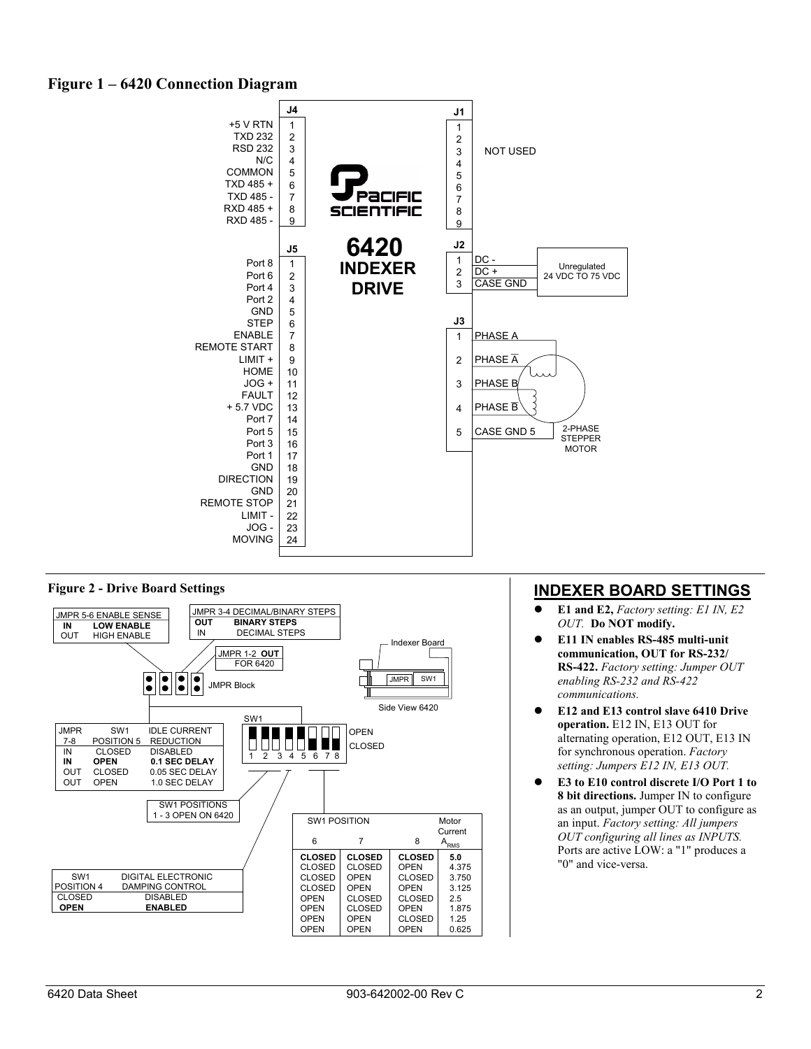## **Figure 1 – 6420 Connection Diagram**



### **Figure 2 - Drive Board Settings**



## **INDEXER BOARD SETTINGS**

- **E1 and E2,** *Factory setting: E1 IN, E2 OUT.* **Do NOT modify.**
- z **E11 IN enables RS-485 multi-unit communication, OUT for RS-232/ RS-422.** *Factory setting: Jumper OUT enabling RS-232 and RS-422 communications.*
- z **E12 and E13 control slave 6410 Drive operation.** E12 IN, E13 OUT for alternating operation, E12 OUT, E13 IN for synchronous operation. *Factory setting: Jumpers E12 IN, E13 OUT.*
- z **E3 to E10 control discrete I/O Port 1 to 8 bit directions.** Jumper IN to configure as an output, jumper OUT to configure as an input. *Factory setting: All jumpers OUT configuring all lines as INPUTS.* Ports are active LOW: a "1" produces a "0" and vice-versa.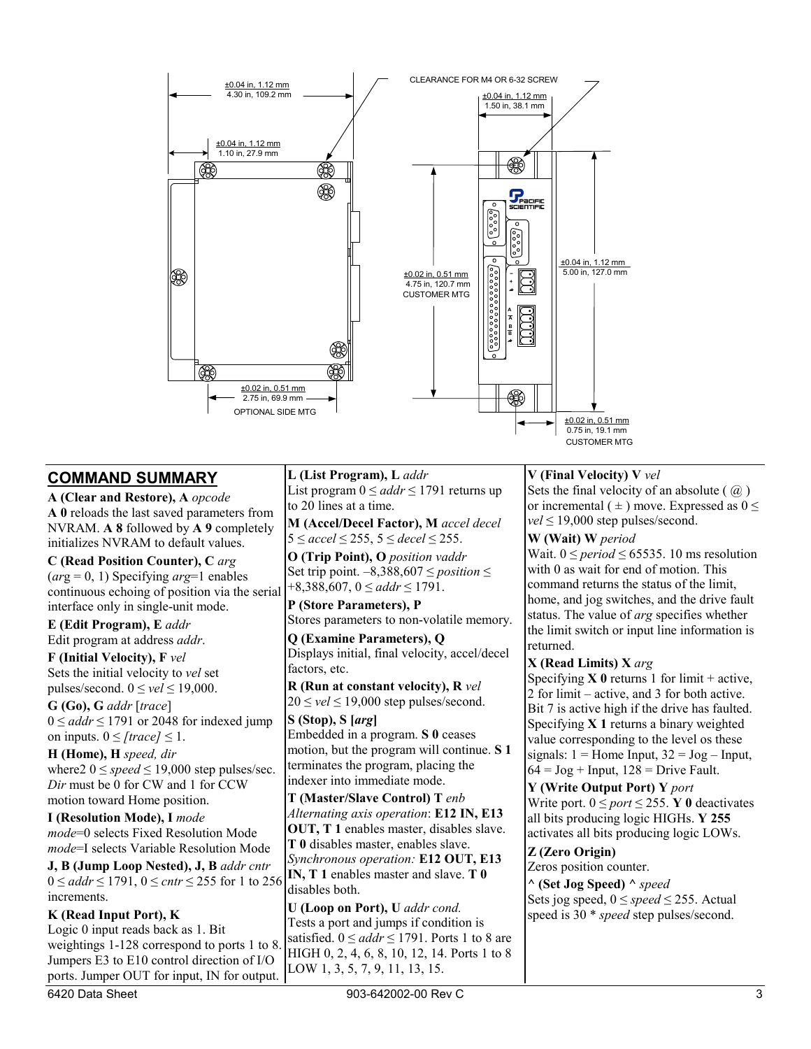

### **COMMAND SUMMARY**

**A (Clear and Restore), A** *opcode*  **A 0** reloads the last saved parameters from NVRAM. **A 8** followed by **A 9** completely initializes NVRAM to default values.

**C (Read Position Counter), C** *arg*  (*ar*g = 0, 1) Specifying *arg*=1 enables continuous echoing of position via the serial interface only in single-unit mode.

**E (Edit Program), E** *addr* Edit program at address *addr*.

**F (Initial Velocity), F** *vel*  Sets the initial velocity to *vel* set pulses/second.  $0 \le$  *vel*  $\le$  19,000.

**G (Go), G** *addr* [*trace*] 0 ≤ *addr* ≤ 1791 or 2048 for indexed jump on inputs.  $0 \leq$  *[trace]*  $\leq$  1.

**H (Home), H** *speed, dir* where  $2 \ 0 \leq speed \leq 19,000$  step pulses/sec. *Dir* must be 0 for CW and 1 for CCW motion toward Home position.

**I (Resolution Mode), I** *mode mode*=0 selects Fixed Resolution Mode *mode*=I selects Variable Resolution Mode

**J, B (Jump Loop Nested), J, B** *addr cntr*  0 ≤ *addr* ≤ 1791, 0 ≤ *cntr* ≤ 255 for 1 to 256 increments.

**K (Read Input Port), K** Logic 0 input reads back as 1. Bit weightings 1-128 correspond to ports 1 to 8. Jumpers E3 to E10 control direction of I/O ports. Jumper OUT for input, IN for output. **L (List Program), L** *addr*  List program  $0 \leq addr \leq 1791$  returns up to 20 lines at a time.

**M (Accel/Decel Factor), M** *accel decel*  5 ≤ *accel* ≤ 255, 5 ≤ *decel* ≤ 255.

**O (Trip Point), O** *position vaddr*  Set trip point. –8,388,607 ≤ *position* ≤ +8,388,607, 0 ≤ *addr* ≤ 1791.

**P (Store Parameters), P**  Stores parameters to non-volatile memory.

**Q (Examine Parameters), Q** Displays initial, final velocity, accel/decel factors, etc.

**R (Run at constant velocity), R** *vel*  $20 \le$  *vel*  $\le$  19,000 step pulses/second.

**S (Stop), S [***arg***]**  Embedded in a program. **S 0** ceases motion, but the program will continue. **S 1** terminates the program, placing the indexer into immediate mode.

**T (Master/Slave Control) T** *enb Alternating axis operation*: **E12 IN, E13 OUT, T 1** enables master, disables slave. **T 0** disables master, enables slave. *Synchronous operation:* **E12 OUT, E13 IN, T 1** enables master and slave. **T 0** disables both.

**U (Loop on Port), U** *addr cond.*  Tests a port and jumps if condition is satisfied.  $0 \leq addr \leq 1791$ . Ports 1 to 8 are HIGH 0, 2, 4, 6, 8, 10, 12, 14. Ports 1 to 8 LOW 1, 3, 5, 7, 9, 11, 13, 15.

**V (Final Velocity) V** *vel* 

Sets the final velocity of an absolute ( $\omega$ ) or incremental ( $\pm$ ) move. Expressed as  $0 \le$  $vel \leq 19,000$  step pulses/second.

**W (Wait) W** *period* 

Wait.  $0 \le period \le 65535$ . 10 ms resolution with 0 as wait for end of motion. This command returns the status of the limit, home, and jog switches, and the drive fault status. The value of *arg* specifies whether the limit switch or input line information is returned.

### **X (Read Limits) X** *arg*

Specifying  $\bf{X}$  0 returns 1 for limit + active, 2 for limit – active, and 3 for both active. Bit 7 is active high if the drive has faulted. Specifying **X 1** returns a binary weighted value corresponding to the level os these signals:  $1 =$  Home Input,  $32 =$  Jog – Input,  $64 = \log + \text{Input}$ ,  $128 = \text{Dirive}$  Fault.

**Y (Write Output Port) Y** *port* Write port.  $0 \leq port \leq 255$ . **Y** 0 deactivates all bits producing logic HIGHs. **Y 255** activates all bits producing logic LOWs.

### **Z (Zero Origin)**

Zeros position counter.

**^ (Set Jog Speed) ^** *speed* Sets jog speed,  $0 \leq speed \leq 255$ . Actual speed is 30 \* *speed* step pulses/second.